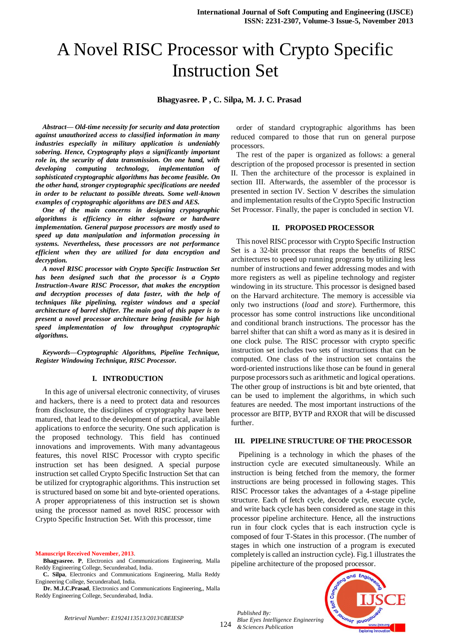# A Novel RISC Processor with Crypto Specific Instruction Set

 **Bhagyasree. P , C. Silpa, M. J. C. Prasad** 

*Abstract— Old-time necessity for security and data protection against unauthorized access to classified information in many industries especially in military application is undeniably sobering. Hence, Cryptography plays a significantly important role in, the security of data transmission. On one hand, with developing computing technology, implementation of sophisticated cryptographic algorithms has become feasible. On the other hand, stronger cryptographic specifications are needed in order to be reluctant to possible threats. Some well-known examples of cryptographic algorithms are DES and AES.* 

*One of the main concerns in designing cryptographic algorithms is efficiency in either software or hardware implementation. General purpose processors are mostly used to speed up data manipulation and information processing in systems. Nevertheless, these processors are not performance efficient when they are utilized for data encryption and decryption.* 

*A novel RISC processor with Crypto Specific Instruction Set has been designed such that the processor is a Crypto Instruction-Aware RISC Processor, that makes the encryption and decryption processes of data faster, with the help of techniques like pipelining, register windows and a special architecture of barrel shifter. The main goal of this paper is to present a novel processor architecture being feasible for high speed implementation of low throughput cryptographic algorithms.*

*Keywords—Cryptographic Algorithms, Pipeline Technique, Register Windowing Technique, RISC Processor.* 

#### **I. INTRODUCTION**

 In this age of universal electronic connectivity, of viruses and hackers, there is a need to protect data and resources from disclosure, the disciplines of cryptography have been matured, that lead to the development of practical, available applications to enforce the security. One such application is the proposed technology. This field has continued innovations and improvements. With many advantageous features, this novel RISC Processor with crypto specific instruction set has been designed. A special purpose instruction set called Crypto Specific Instruction Set that can be utilized for cryptographic algorithms. This instruction set is structured based on some bit and byte-oriented operations. A proper appropriateness of this instruction set is shown using the processor named as novel RISC processor with Crypto Specific Instruction Set. With this processor, time

**Manuscript Received November, 2013**.

**Bhagyasree. P**, Electronics and Communications Engineering, Malla Reddy Engineering College, Secunderabad, India.

**C. Silpa**, Electronics and Communications Engineering, Malla Reddy Engineering College, Secunderabad, India.

**Dr. M.J.C.Prasad**, Electronics and Communications Engineering,, Malla Reddy Engineering College, Secunderabad, India.

order of standard cryptographic algorithms has been reduced compared to those that run on general purpose processors.

The rest of the paper is organized as follows: a general description of the proposed processor is presented in section II. Then the architecture of the processor is explained in section III. Afterwards, the assembler of the processor is presented in section IV. Section V describes the simulation and implementation results of the Crypto Specific Instruction Set Processor. Finally, the paper is concluded in section VI.

## **II. PROPOSED PROCESSOR**

This novel RISC processor with Crypto Specific Instruction Set is a 32-bit processor that reaps the benefits of RISC architectures to speed up running programs by utilizing less number of instructions and fewer addressing modes and with more registers as well as pipeline technology and register windowing in its structure. This processor is designed based on the Harvard architecture. The memory is accessible via only two instructions (*load* and *store*). Furthermore, this processor has some control instructions like unconditional and conditional branch instructions. The processor has the barrel shifter that can shift a word as many as it is desired in one clock pulse. The RISC processor with crypto specific instruction set includes two sets of instructions that can be computed. One class of the instruction set contains the word-oriented instructions like those can be found in general purpose processors such as arithmetic and logical operations. The other group of instructions is bit and byte oriented, that can be used to implement the algorithms, in which such features are needed. The most important instructions of the processor are BITP, BYTP and RXOR that will be discussed further.

#### **III. PIPELINE STRUCTURE OF THE PROCESSOR**

Pipelining is a technology in which the phases of the instruction cycle are executed simultaneously. While an instruction is being fetched from the memory, the former instructions are being processed in following stages. This RISC Processor takes the advantages of a 4-stage pipeline structure. Each of fetch cycle, decode cycle, execute cycle, and write back cycle has been considered as one stage in this processor pipeline architecture. Hence, all the instructions run in four clock cycles that is each instruction cycle is composed of four T-States in this processor. (The number of stages in which one instruction of a program is executed completely is called an instruction cycle). Fig.1 illustrates the pipeline architecture of the proposed processor.

124 *Published By: Blue Eyes Intelligence Engineering & Sciences Publication* 

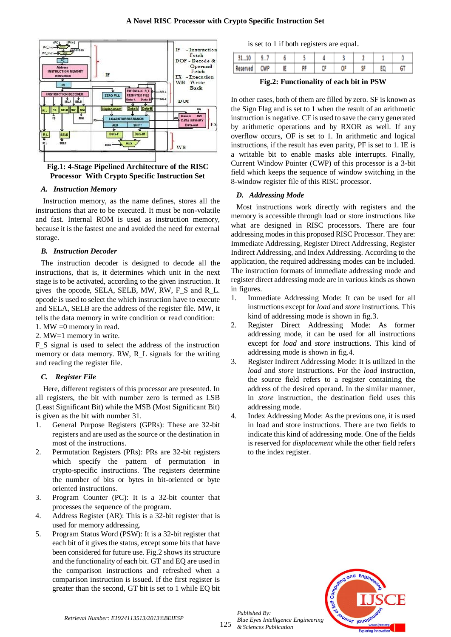

**Fig.1: 4-Stage Pipelined Architecture of the RISC Processor With Crypto Specific Instruction Set**

#### *A. Instruction Memory*

Instruction memory, as the name defines, stores all the instructions that are to be executed. It must be non-volatile and fast. Internal ROM is used as instruction memory, because it is the fastest one and avoided the need for external storage.

#### *B. Instruction Decoder*

The instruction decoder is designed to decode all the instructions, that is, it determines which unit in the next stage is to be activated, according to the given instruction. It gives the opcode, SELA, SELB, MW, RW, F\_S and R\_L. opcode is used to select the which instruction have to execute and SELA, SELB are the address of the register file. MW, it tells the data memory in write condition or read condition:

1. MW =0 memory in read.

2. MW=1 memory in write.

F\_S signal is used to select the address of the instruction memory or data memory. RW, R\_L signals for the writing and reading the register file.

## *C. Register File*

Here, different registers of this processor are presented. In all registers, the bit with number zero is termed as LSB (Least Significant Bit) while the MSB (Most Significant Bit) is given as the bit with number 31.

- 1. General Purpose Registers (GPRs): These are 32-bit registers and are used as the source or the destination in most of the instructions.
- 2. Permutation Registers (PRs): PRs are 32-bit registers which specify the pattern of permutation in crypto-specific instructions. The registers determine the number of bits or bytes in bit-oriented or byte oriented instructions.
- 3. Program Counter (PC): It is a 32-bit counter that processes the sequence of the program.
- 4. Address Register (AR): This is a 32-bit register that is used for memory addressing.
- 5. Program Status Word (PSW): It is a 32-bit register that each bit of it gives the status, except some bits that have been considered for future use. Fig.2 shows its structure and the functionality of each bit. GT and EQ are used in the comparison instructions and refreshed when a comparison instruction is issued. If the first register is greater than the second, GT bit is set to 1 while EQ bit

is set to 1 if both registers are equal.

|          | y I        |    |    |  |           |   |
|----------|------------|----|----|--|-----------|---|
| Reserved | <b>CWP</b> | IE | DF |  | <b>KF</b> | G |

**Fig.2: Functionality of each bit in PSW**

In other cases, both of them are filled by zero. SF is known as the Sign Flag and is set to 1 when the result of an arithmetic instruction is negative. CF is used to save the carry generated by arithmetic operations and by RXOR as well. If any overflow occurs, OF is set to 1. In arithmetic and logical instructions, if the result has even parity, PF is set to 1. IE is a writable bit to enable masks able interrupts. Finally, Current Window Pointer (CWP) of this processor is a 3-bit field which keeps the sequence of window switching in the 8-window register file of this RISC processor.

## *D. Addressing Mode*

Most instructions work directly with registers and the memory is accessible through load or store instructions like what are designed in RISC processors. There are four addressing modes in this proposed RISC Processor. They are: Immediate Addressing, Register Direct Addressing, Register Indirect Addressing, and Index Addressing. According to the application, the required addressing modes can be included. The instruction formats of immediate addressing mode and register direct addressing mode are in various kinds as shown in figures.

- 1. Immediate Addressing Mode: It can be used for all instructions except for *load* and *store* instructions. This kind of addressing mode is shown in fig.3.
- 2. Register Direct Addressing Mode: As former addressing mode, it can be used for all instructions except for *load* and *store* instructions. This kind of addressing mode is shown in fig.4.
- 3. Register Indirect Addressing Mode: It is utilized in the *load* and *store* instructions. For the *load* instruction, the source field refers to a register containing the address of the desired operand. In the similar manner, in *store* instruction, the destination field uses this addressing mode.
- 4. Index Addressing Mode: As the previous one, it is used in load and store instructions. There are two fields to indicate this kind of addressing mode. One of the fields is reserved for *displacement* while the other field refers to the index register.



*Published By:*

*& Sciences Publication*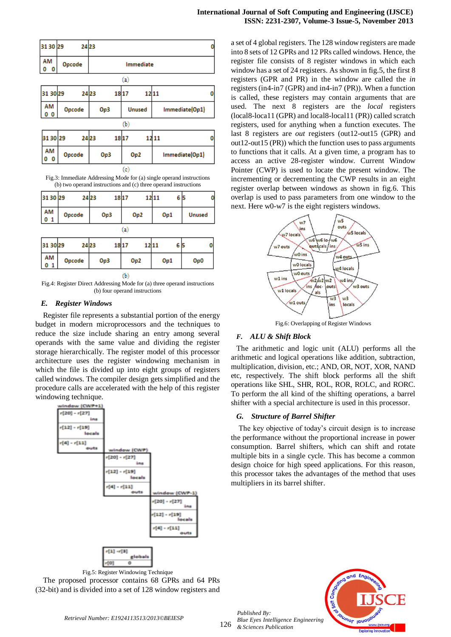

Fig.3: Immediate Addressing Mode for (a) single operand instructions (b) two operand instructions and (c) three operand instructions

| 3130 29              |          | 24 23 | 18 17           | 12 11<br>65 | 0             |  |  |  |  |  |  |
|----------------------|----------|-------|-----------------|-------------|---------------|--|--|--|--|--|--|
| AM<br>0 <sub>1</sub> | Opcode   | Op3   | Op <sub>2</sub> | Op1         | <b>Unused</b> |  |  |  |  |  |  |
|                      | $\bf{a}$ |       |                 |             |               |  |  |  |  |  |  |
| 31 30 29             | 2423     | 1817  | 12 11           | 65          |               |  |  |  |  |  |  |
| AM<br>01             | Opcode   | Op3   | Op <sub>2</sub> | Op1         | Op0           |  |  |  |  |  |  |
|                      | ጤ        |       |                 |             |               |  |  |  |  |  |  |

Fig.4: Register Direct Addressing Mode for (a) three operand instructions (b) four operand instructions

## *E. Register Windows*

Register file represents a substantial portion of the energy budget in modern microprocessors and the techniques to reduce the size include sharing an entry among several operands with the same value and dividing the register storage hierarchically. The register model of this processor architecture uses the register windowing mechanism in which the file is divided up into eight groups of registers called windows. The compiler design gets simplified and the procedure calls are accelerated with the help of this register windowing technique.



Fig.5: Register Windowing Technique The proposed processor contains 68 GPRs and 64 PRs

(32-bit) and is divided into a set of 128 window registers and

a set of 4 global registers. The 128 window registers are made into 8 sets of 12 GPRs and 12 PRs called windows. Hence, the register file consists of 8 register windows in which each window has a set of 24 registers. As shown in fig.5, the first 8 registers (GPR and PR) in the window are called the *in*  registers (in4-in7 (GPR) and in4-in7 (PR)). When a function is called, these registers may contain arguments that are used. The next 8 registers are the *local* registers (local8-loca11 (GPR) and local8-local11 (PR)) called scratch registers, used for anything when a function executes. The last 8 registers are *out* registers (out12-out15 (GPR) and out12-out15 (PR)) which the function uses to pass arguments to functions that it calls. At a given time, a program has to access an active 28-register window. Current Window Pointer (CWP) is used to locate the present window. The incrementing or decrementing the CWP results in an eight register overlap between windows as shown in fig.6. This overlap is used to pass parameters from one window to the next. Here w0-w7 is the eight registers windows.



Fig.6: Overlapping of Register Windows

# *F. ALU & Shift Block*

The arithmetic and logic unit (ALU) performs all the arithmetic and logical operations like addition, subtraction, multiplication, division, etc.; AND, OR, NOT, XOR, NAND etc, respectively. The shift block performs all the shift operations like SHL, SHR, ROL, ROR, ROLC, and RORC. To perform the all kind of the shifting operations, a barrel shifter with a special architecture is used in this processor.

# *G. Structure of Barrel Shifter*

The key objective of today's circuit design is to increase the performance without the proportional increase in power consumption. Barrel shifters, which can shift and rotate multiple bits in a single cycle. This has become a common design choice for high speed applications. For this reason, this processor takes the advantages of the method that uses multipliers in its barrel shifter.



*Retrieval Number: E1924113513/2013©BEIESP*

126

*Published By:*

*& Sciences Publication*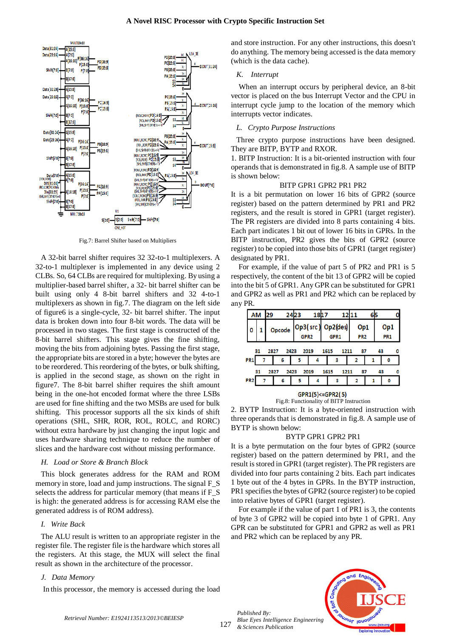

Fig.7: Barrel Shifter based on Multipliers

A 32-bit barrel shifter requires 32 32-to-1 multiplexers. A 32-to-1 multiplexer is implemented in any device using 2 CLBs. So, 64 CLBs are required for multiplexing. By using a multiplier-based barrel shifter, a 32- bit barrel shifter can be built using only 4 8-bit barrel shifters and 32 4-to-1 multiplexers as shown in fig.7. The diagram on the left side of figure6 is a single-cycle, 32- bit barrel shifter. The input data is broken down into four 8-bit words. The data will be processed in two stages. The first stage is constructed of the 8-bit barrel shifters. This stage gives the fine shifting, moving the bits from adjoining bytes. Passing the first stage, the appropriate bits are stored in a byte; however the bytes are to be reordered. This reordering of the bytes, or bulk shifting, is applied in the second stage, as shown on the right in figure7. The 8-bit barrel shifter requires the shift amount being in the one-hot encoded format where the three LSBs are used for fine shifting and the two MSBs are used for bulk shifting. This processor supports all the six kinds of shift operations (SHL, SHR, ROR, ROL, ROLC, and RORC) without extra hardware by just changing the input logic and uses hardware sharing technique to reduce the number of slices and the hardware cost without missing performance.

#### *H. Load or Store & Branch Block*

This block generates address for the RAM and ROM memory in store, load and jump instructions. The signal F\_S selects the address for particular memory (that means if F\_S is high: the generated address is for accessing RAM else the generated address is of ROM address).

#### *I. Write Back*

The ALU result is written to an appropriate register in the register file. The register file is the hardware which stores all the registers. At this stage, the MUX will select the final result as shown in the architecture of the processor.

#### *J. Data Memory*

In this processor, the memory is accessed during the load

and store instruction. For any other instructions, this doesn't do anything. The memory being accessed is the data memory (which is the data cache).

#### *K. Interrupt*

When an interrupt occurs by peripheral device, an 8-bit vector is placed on the bus Interrupt Vector and the CPU in interrupt cycle jump to the location of the memory which interrupts vector indicates.

#### *L. Crypto Purpose Instructions*

Three crypto purpose instructions have been designed. They are BITP, BYTP and RXOR.

1. BITP Instruction: It is a bit-oriented instruction with four operands that is demonstrated in fig.8. A sample use of BITP is shown below:

#### BITP GPR1 GPR2 PR1 PR2

It is a bit permutation on lower 16 bits of GPR2 (source register) based on the pattern determined by PR1 and PR2 registers, and the result is stored in GPR1 (target register). The PR registers are divided into 8 parts containing 4 bits. Each part indicates 1 bit out of lower 16 bits in GPRs. In the BITP instruction, PR2 gives the bits of GPR2 (source register) to be copied into those bits of GPR1 (target register) designated by PR1.

For example, if the value of part 5 of PR2 and PR1 is 5 respectively, the content of the bit 13 of GPR2 will be copied into the bit 5 of GPR1. Any GPR can be substituted for GPR1 and GPR2 as well as PR1 and PR2 which can be replaced by any PR.

|                                                        | 29<br>ΑM                                               |  |  | 2423 | 1817                     |   |  | 12 11 |                        |  |                        |   |  |
|--------------------------------------------------------|--------------------------------------------------------|--|--|------|--------------------------|---|--|-------|------------------------|--|------------------------|---|--|
|                                                        |                                                        |  |  |      | Opcode Op3(src) Op2(des) |   |  |       | Op1<br>PR <sub>2</sub> |  | Op1<br>PR <sub>1</sub> |   |  |
|                                                        | 31<br>2827<br>43<br>2423<br>1615<br>2019<br>87<br>1211 |  |  |      |                          |   |  |       |                        |  |                        |   |  |
|                                                        | PR <sub>1</sub>                                        |  |  | 6    | 5                        | 4 |  | з     | 2                      |  |                        | 0 |  |
| 43<br>2827<br>2423<br>2019<br>87<br>31<br>1615<br>1211 |                                                        |  |  |      |                          |   |  |       |                        |  |                        |   |  |
|                                                        | PR <sub>2</sub>                                        |  |  | 6    | 5                        | 4 |  | з     |                        |  |                        | 0 |  |

GPR1(5) <= GPR2(5) Fig.8: Functionality of BITP Instruction

2. BYTP Instruction: It is a byte-oriented instruction with three operands that is demonstrated in fig.8. A sample use of BYTP is shown below:

#### BYTP GPR1 GPR2 PR1

It is a byte permutation on the four bytes of GPR2 (source register) based on the pattern determined by PR1, and the result is stored in GPR1 (target register). The PR registers are divided into four parts containing 2 bits. Each part indicates 1 byte out of the 4 bytes in GPRs. In the BYTP instruction, PR1 specifies the bytes of GPR2 (source register) to be copied into relative bytes of GPR1 (target register).

For example if the value of part 1 of PR1 is 3, the contents of byte 3 of GPR2 will be copied into byte 1 of GPR1. Any GPR can be substituted for GPR1 and GPR2 as well as PR1 and PR2 which can be replaced by any PR.

127 *Published By: Blue Eyes Intelligence Engineering & Sciences Publication*